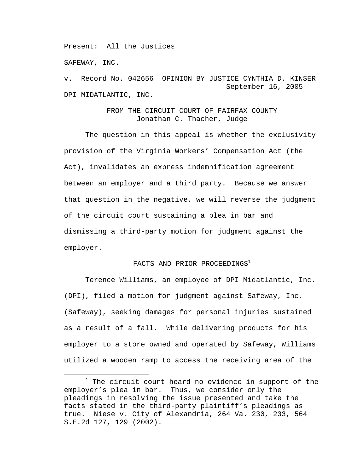Present: All the Justices

SAFEWAY, INC.

v. Record No. 042656 OPINION BY JUSTICE CYNTHIA D. KINSER September 16, 2005 DPI MIDATLANTIC, INC.

# FROM THE CIRCUIT COURT OF FAIRFAX COUNTY Jonathan C. Thacher, Judge

 The question in this appeal is whether the exclusivity provision of the Virginia Workers' Compensation Act (the Act), invalidates an express indemnification agreement between an employer and a third party. Because we answer that question in the negative, we will reverse the judgment of the circuit court sustaining a plea in bar and dismissing a third-party motion for judgment against the employer.

# FACTS AND PRIOR PROCEEDINGS<sup>1</sup>

 Terence Williams, an employee of DPI Midatlantic, Inc. (DPI), filed a motion for judgment against Safeway, Inc. (Safeway), seeking damages for personal injuries sustained as a result of a fall. While delivering products for his employer to a store owned and operated by Safeway, Williams utilized a wooden ramp to access the receiving area of the

<sup>1</sup>  $1$  The circuit court heard no evidence in support of the employer's plea in bar. Thus, we consider only the pleadings in resolving the issue presented and take the facts stated in the third-party plaintiff's pleadings as true. Niese v. City of Alexandria, 264 Va. 230, 233, 564 S.E.2d 127, 129 (2002).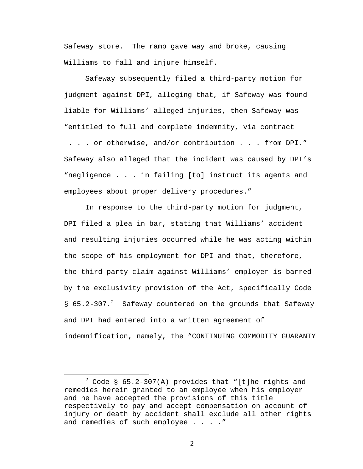Safeway store. The ramp gave way and broke, causing Williams to fall and injure himself.

Safeway subsequently filed a third-party motion for judgment against DPI, alleging that, if Safeway was found liable for Williams' alleged injuries, then Safeway was "entitled to full and complete indemnity, via contract

 . . . or otherwise, and/or contribution . . . from DPI." Safeway also alleged that the incident was caused by DPI's "negligence . . . in failing [to] instruct its agents and employees about proper delivery procedures."

In response to the third-party motion for judgment, DPI filed a plea in bar, stating that Williams' accident and resulting injuries occurred while he was acting within the scope of his employment for DPI and that, therefore, the third-party claim against Williams' employer is barred by the exclusivity provision of the Act, specifically Code § 65.2-307.<sup>2</sup> Safeway countered on the grounds that Safeway and DPI had entered into a written agreement of indemnification, namely, the "CONTINUING COMMODITY GUARANTY

 $\overline{\phantom{a}}$  2  $2$  Code § 65.2-307(A) provides that "[t]he rights and remedies herein granted to an employee when his employer and he have accepted the provisions of this title respectively to pay and accept compensation on account of injury or death by accident shall exclude all other rights and remedies of such employee . . . . "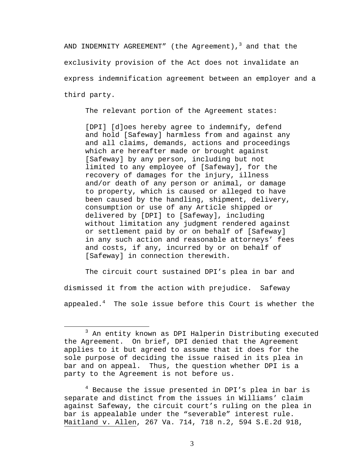AND INDEMNITY AGREEMENT" (the Agreement), $^3$  and that the exclusivity provision of the Act does not invalidate an express indemnification agreement between an employer and a third party.

The relevant portion of the Agreement states:

[DPI] [d]oes hereby agree to indemnify, defend and hold [Safeway] harmless from and against any and all claims, demands, actions and proceedings which are hereafter made or brought against [Safeway] by any person, including but not limited to any employee of [Safeway], for the recovery of damages for the injury, illness and/or death of any person or animal, or damage to property, which is caused or alleged to have been caused by the handling, shipment, delivery, consumption or use of any Article shipped or delivered by [DPI] to [Safeway], including without limitation any judgment rendered against or settlement paid by or on behalf of [Safeway] in any such action and reasonable attorneys' fees and costs, if any, incurred by or on behalf of [Safeway] in connection therewith.

 The circuit court sustained DPI's plea in bar and dismissed it from the action with prejudice. Safeway appealed. $^4$  The sole issue before this Court is whether the

<sup>4</sup> Because the issue presented in DPI's plea in bar is separate and distinct from the issues in Williams' claim against Safeway, the circuit court's ruling on the plea in bar is appealable under the "severable" interest rule. Maitland v. Allen, 267 Va. 714, 718 n.2, 594 S.E.2d 918,

 $\overline{\phantom{a}}$  3  $3$  An entity known as DPI Halperin Distributing executed the Agreement. On brief, DPI denied that the Agreement applies to it but agreed to assume that it does for the sole purpose of deciding the issue raised in its plea in bar and on appeal. Thus, the question whether DPI is a party to the Agreement is not before us.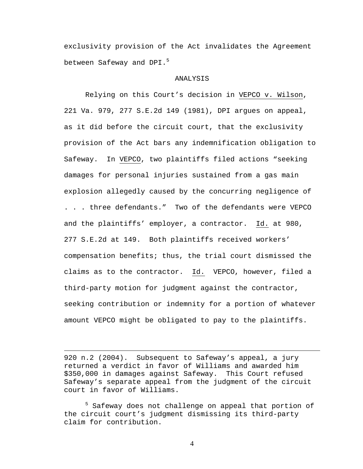exclusivity provision of the Act invalidates the Agreement between Safeway and DPI.<sup>5</sup>

### ANALYSIS

Relying on this Court's decision in VEPCO v. Wilson, 221 Va. 979, 277 S.E.2d 149 (1981), DPI argues on appeal, as it did before the circuit court, that the exclusivity provision of the Act bars any indemnification obligation to Safeway. In VEPCO, two plaintiffs filed actions "seeking damages for personal injuries sustained from a gas main explosion allegedly caused by the concurring negligence of . . . three defendants." Two of the defendants were VEPCO and the plaintiffs' employer, a contractor. Id. at 980, 277 S.E.2d at 149. Both plaintiffs received workers' compensation benefits; thus, the trial court dismissed the claims as to the contractor. Id. VEPCO, however, filed a third-party motion for judgment against the contractor, seeking contribution or indemnity for a portion of whatever amount VEPCO might be obligated to pay to the plaintiffs.

920 n.2 (2004). Subsequent to Safeway's appeal, a jury returned a verdict in favor of Williams and awarded him \$350,000 in damages against Safeway. This Court refused Safeway's separate appeal from the judgment of the circuit court in favor of Williams.

 $\overline{a}$ 

<sup>5</sup> Safeway does not challenge on appeal that portion of the circuit court's judgment dismissing its third-party claim for contribution.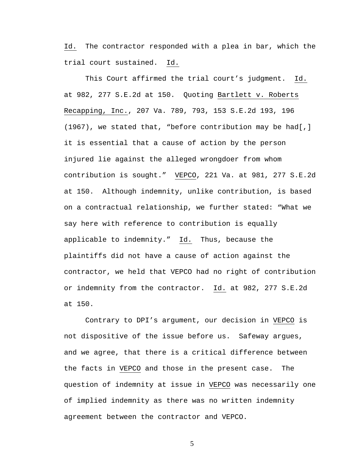Id. The contractor responded with a plea in bar, which the trial court sustained. Id.

This Court affirmed the trial court's judgment. Id. at 982, 277 S.E.2d at 150. Quoting Bartlett v. Roberts Recapping, Inc., 207 Va. 789, 793, 153 S.E.2d 193, 196 (1967), we stated that, "before contribution may be had[,] it is essential that a cause of action by the person injured lie against the alleged wrongdoer from whom contribution is sought." VEPCO, 221 Va. at 981, 277 S.E.2d at 150. Although indemnity, unlike contribution, is based on a contractual relationship, we further stated: "What we say here with reference to contribution is equally applicable to indemnity." Id. Thus, because the plaintiffs did not have a cause of action against the contractor, we held that VEPCO had no right of contribution or indemnity from the contractor. Id. at 982, 277 S.E.2d at 150.

 Contrary to DPI's argument, our decision in VEPCO is not dispositive of the issue before us. Safeway argues, and we agree, that there is a critical difference between the facts in VEPCO and those in the present case. The question of indemnity at issue in VEPCO was necessarily one of implied indemnity as there was no written indemnity agreement between the contractor and VEPCO.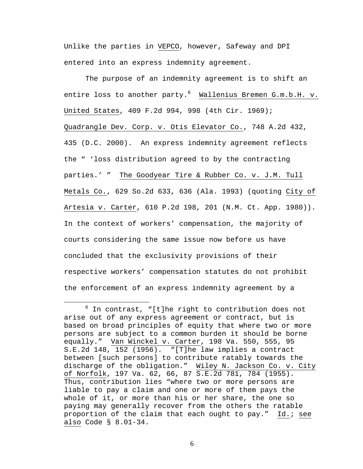Unlike the parties in VEPCO, however, Safeway and DPI entered into an express indemnity agreement.

The purpose of an indemnity agreement is to shift an entire loss to another party.<sup>6</sup> Wallenius Bremen G.m.b.H. v. United States, 409 F.2d 994, 998 (4th Cir. 1969); Quadrangle Dev. Corp. v. Otis Elevator Co., 748 A.2d 432, 435 (D.C. 2000). An express indemnity agreement reflects the " 'loss distribution agreed to by the contracting parties.' " The Goodyear Tire & Rubber Co. v. J.M. Tull Metals Co., 629 So.2d 633, 636 (Ala. 1993) (quoting City of Artesia v. Carter, 610 P.2d 198, 201 (N.M. Ct. App. 1980)). In the context of workers' compensation, the majority of courts considering the same issue now before us have concluded that the exclusivity provisions of their respective workers' compensation statutes do not prohibit the enforcement of an express indemnity agreement by a

<sup>6</sup>  $6$  In contrast, "[t]he right to contribution does not arise out of any express agreement or contract, but is based on broad principles of equity that where two or more persons are subject to a common burden it should be borne equally." Van Winckel v. Carter, 198 Va. 550, 555, 95 S.E.2d 148, 152 (1956). "[T]he law implies a contract between [such persons] to contribute ratably towards the discharge of the obligation." Wiley N. Jackson Co. v. City of Norfolk, 197 Va. 62, 66, 87 S.E.2d 781, 784 (1955). Thus, contribution lies "where two or more persons are liable to pay a claim and one or more of them pays the whole of it, or more than his or her share, the one so paying may generally recover from the others the ratable proportion of the claim that each ought to pay." Id.; see also Code § 8.01-34.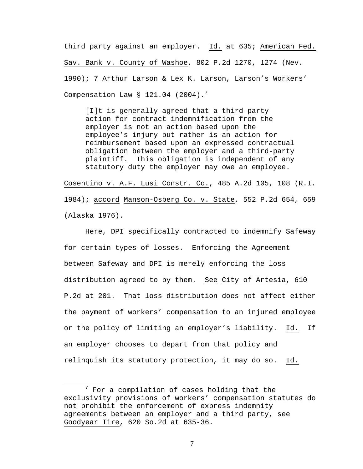third party against an employer. Id. at 635; American Fed. Sav. Bank v. County of Washoe, 802 P.2d 1270, 1274 (Nev. 1990); 7 Arthur Larson & Lex K. Larson, Larson's Workers' Compensation Law  $\S$  121.04 (2004).<sup>7</sup>

[I]t is generally agreed that a third-party action for contract indemnification from the employer is not an action based upon the employee's injury but rather is an action for reimbursement based upon an expressed contractual obligation between the employer and a third-party plaintiff. This obligation is independent of any statutory duty the employer may owe an employee.

Cosentino v. A.F. Lusi Constr. Co., 485 A.2d 105, 108 (R.I. 1984); accord Manson-Osberg Co. v. State, 552 P.2d 654, 659 (Alaska 1976).

Here, DPI specifically contracted to indemnify Safeway for certain types of losses. Enforcing the Agreement between Safeway and DPI is merely enforcing the loss distribution agreed to by them. See City of Artesia, 610 P.2d at 201. That loss distribution does not affect either the payment of workers' compensation to an injured employee or the policy of limiting an employer's liability. Id. If an employer chooses to depart from that policy and relinquish its statutory protection, it may do so. Id.

<sup>7</sup>  $7$  For a compilation of cases holding that the exclusivity provisions of workers' compensation statutes do not prohibit the enforcement of express indemnity agreements between an employer and a third party, see Goodyear Tire, 620 So.2d at 635-36.